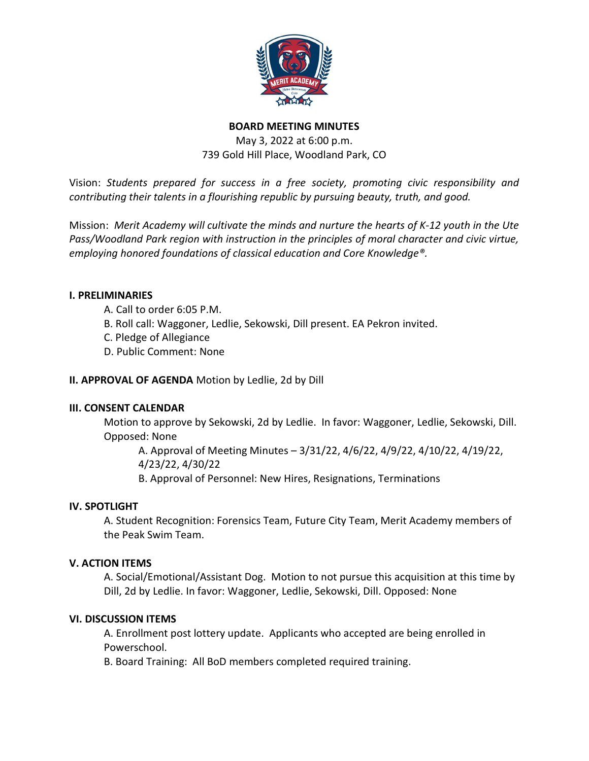

# BOARD MEETING MINUTES

May 3, 2022 at 6:00 p.m. 739 Gold Hill Place, Woodland Park, CO

Vision: Students prepared for success in a free society, promoting civic responsibility and contributing their talents in a flourishing republic by pursuing beauty, truth, and good.

Mission: Merit Academy will cultivate the minds and nurture the hearts of K-12 youth in the Ute Pass/Woodland Park region with instruction in the principles of moral character and civic virtue, employing honored foundations of classical education and Core Knowledge®.

# I. PRELIMINARIES

- A. Call to order 6:05 P.M.
- B. Roll call: Waggoner, Ledlie, Sekowski, Dill present. EA Pekron invited.
- C. Pledge of Allegiance
- D. Public Comment: None

### II. APPROVAL OF AGENDA Motion by Ledlie, 2d by Dill

### III. CONSENT CALENDAR

Motion to approve by Sekowski, 2d by Ledlie. In favor: Waggoner, Ledlie, Sekowski, Dill. Opposed: None

A. Approval of Meeting Minutes – 3/31/22, 4/6/22, 4/9/22, 4/10/22, 4/19/22, 4/23/22, 4/30/22

B. Approval of Personnel: New Hires, Resignations, Terminations

### IV. SPOTLIGHT

A. Student Recognition: Forensics Team, Future City Team, Merit Academy members of the Peak Swim Team.

### V. ACTION ITEMS

A. Social/Emotional/Assistant Dog. Motion to not pursue this acquisition at this time by Dill, 2d by Ledlie. In favor: Waggoner, Ledlie, Sekowski, Dill. Opposed: None

### VI. DISCUSSION ITEMS

A. Enrollment post lottery update. Applicants who accepted are being enrolled in Powerschool.

B. Board Training: All BoD members completed required training.